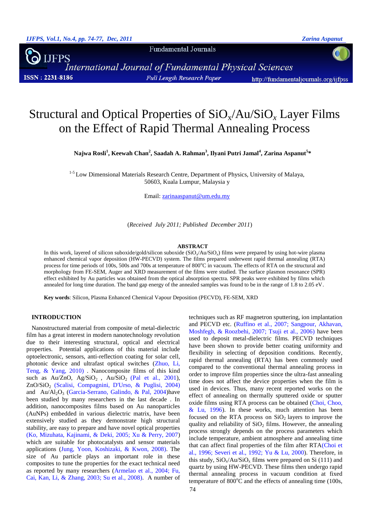Fundamental Journals

**JFPS** o<br>International Journal of Fundamental Physical Sciences **ISSN: 2231-8186 Full Length Research Paper** http://fundamentaljournals.org/ijfpss

# Structural and Optical Properties of SiOx/Au/SiO*<sup>x</sup>* Layer Films on the Effect of Rapid Thermal Annealing Process

**Najwa Rosli<sup>1</sup> , Keewah Chan<sup>2</sup> , Saadah A. Rahman<sup>3</sup> , Ilyani Putri Jamal<sup>4</sup> , Zarina Aspanut<sup>5</sup> \***

<sup>1-5</sup> Low Dimensional Materials Research Centre, Department of Physics, University of Malaya, 50603, Kuala Lumpur, Malaysia y

Email: [zarinaaspanut@um.edu.my](mailto:zarinaaspanut@um.edu.my)

(*Received July 2011; Published December 2011*)

#### **ABSTRACT**

In this work, layered of silicon suboxide/gold/silicon suboxide (SiO*<sup>x</sup>* /Au/SiO*<sup>x</sup>* ) films were prepared by using hot-wire plasma enhanced chemical vapor deposition (HW-PECVD) system. The films prepared underwent rapid thermal annealing (RTA) process for time periods of 100s, 500s and 700s at temperature of 800°C in vacuum. The effects of RTA on the structural and morphology from FE-SEM, Auger and XRD measurement of the films were studied. The surface plasmon resonance (SPR) effect exhibited by Au particles was obtained from the optical absorption spectra. SPR peaks were exhibited by films which annealed for long time duration. The band gap energy of the annealed samples was found to be in the range of 1.8 to 2.05 eV.

**Key words**: Silicon, Plasma Enhanced Chemical Vapour Deposition (PECVD), FE-SEM, XRD

#### **INTRODUCTION**

Nanostructured material from composite of metal-dielectric film has a great interest in modern nanotechnology revolution due to their interesting structural, optical and electrical properties. Potential applications of this material include optoelectronic, sensors, anti-reflection coating for solar cell, photonic device and ultrafast optical switches [\(Zhuo, Li,](#page-3-0)  [Teng, & Yang, 2010\)](#page-3-0) . Nanocomposite films of this kind such as  $Au/ZnO$ ,  $Ag/SiO<sub>2</sub>$ ,  $Au/SiO<sub>2</sub>$  (Pal [et al., 2001\)](#page-3-1), ZnO/SiO<sup>2</sup> [\(Scalisi, Compagnini, D'Urso, & Puglisi, 2004\)](#page-3-2) and  $Au/Al_2O_3$  [\(Garcia-Serrano, Galindo, & Pal, 2004\)](#page-3-3)have been studied by many researchers in the last decade . In addition, nanocomposites films based on Au nanoparticles (AuNPs) embedded in various dielectric matrix, have been extensively studied as they demonstrate high structural stability, are easy to prepare and have novel optical properties [\(Ko, Mizuhata, Kajinami, & Deki, 2005;](#page-3-4) [Xu & Perry, 2007\)](#page-3-5) which are suitable for photocatalysts and sensor materials applications [\(Jung, Yoon, Koshizaki, & Kwon, 2008\)](#page-3-6). The size of Au particle plays an important role in these composites to tune the properties for the exact technical need as reported by many researchers [\(Armelao et al., 2004;](#page-3-7) [Fu,](#page-3-8)  [Cai, Kan, Li, & Zhang, 2003;](#page-3-8) [Su et al., 2008\)](#page-3-9). A number of techniques such as RF magnetron sputtering, ion implantation and PECVD etc. [\(Ruffino et al., 2007;](#page-3-10) [Sangpour, Akhavan,](#page-3-11)  [Moshfegh, & Roozbehi, 2007;](#page-3-11) [Tsuji et al., 2006\)](#page-3-12) have been used to deposit metal-dielectric films. PECVD techniques have been shown to provide better coating uniformity and flexibility in selecting of deposition conditions. Recently, rapid thermal annealing (RTA) has been commonly used compared to the conventional thermal annealing process in order to improve film properties since the ultra-fast annealing time does not affect the device properties when the film is used in devices. Thus, many recent reported works on the effect of annealing on thermally sputtered oxide or sputter oxide films using RTA process can be obtained [\(Choi, Choo,](#page-3-13)   $& Lu, 1996$ . In these works, much attention has been focused on the RTA process on  $SiO<sub>2</sub>$  layers to improve the quality and reliability of  $SiO<sub>2</sub>$  films. However, the annealing process strongly depends on the process parameters which include temperature, ambient atmosphere and annealing time that can affect final properties of the film after RTA[\(Choi et](#page-3-13)  [al., 1996;](#page-3-13) [Severi et al., 1992;](#page-3-14) [Yu & Lu, 2000\)](#page-3-15). Therefore, in this study,  $SiO_x/Au/SiO_x$  films were prepared on Si (111) and quartz by using HW-PECVD. These films then undergo rapid thermal annealing process in vacuum condition at fixed temperature of  $800^{\circ}$ C and the effects of annealing time (100s,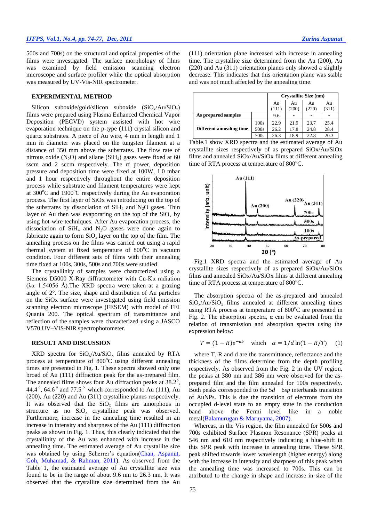# *IJFPS, Vol.1, No.4, pp. 74-77, Dec, 2011 Zarina Aspanut*

500s and 700s) on the structural and optical properties of the films were investigated. The surface morphology of films was examined by field emission scanning electron microscope and surface profiler while the optical absorption was measured by UV-Vis-NIR spectrometer.

### **EXPERIMENTAL METHOD**

Silicon suboxide/gold/silicon suboxide (SiO<sub>x</sub>/Au/SiO<sub>x</sub>) films were prepared using Plasma Enhanced Chemical Vapor Deposition (PECVD) system assisted with hot wire evaporation technique on the p-type (111) crystal silicon and quartz substrates. A piece of Au wire, 4 mm in length and 1 mm in diameter was placed on the tungsten filament at a distance of 350 mm above the substrates. The flow rate of nitrous oxide  $(N_2O)$  and silane  $(SiH_4)$  gases were fixed at 60 sscm and 2 sccm respectively. The rf power, deposition pressure and deposition time were fixed at 100W, 1.0 mbar and 1 hour respectively throughout the entire deposition process while substrate and filament temperatures were kept at  $300^{\circ}$ C and  $1900^{\circ}$ C respectively during the Au evaporation process. The first layer of SiOx was introducing on the top of the substrates by dissociation of  $SiH<sub>4</sub>$  and N<sub>2</sub>O gases. Thin layer of Au then was evaporating on the top of the  $SiO_x$  by using hot-wire techniques. After Au evaporation process, the dissociation of  $SiH<sub>4</sub>$  and N<sub>2</sub>O gases were done again to fabricate again to form  $SiO_x$  layer on the top of the film. The annealing process on the films was carried out using a rapid thermal system at fixed temperature of  $800^{\circ}$ C in vacuum condition. Four different sets of films with their annealing time fixed at 100s, 300s, 500s and 700s were studied

The crystallinity of samples were characterized using a Siemens D5000 X-Ray diffractometer with Cu-Kα radiation  $(\lambda \alpha = 1.54056 \text{ Å})$ . The XRD spectra were taken at a grazing angle of 2°. The size, shape and distribution of Au particles on the SiOx surface were investigated using field emission scanning electron microscope (FESEM) with model of FEI Quanta 200. The optical spectrum of transmittance and reflection of the samples were characterized using a JASCO V570 UV–VIS-NIR spectrophotometer.

#### **RESULT AND DISCUSSION**

XRD spectra for  $SiO_x/Au/SiO_x$  films annealed by RTA process at temperature of  $800^{\circ}$ C using different annealing times are presented in Fig. 1. These spectra showed only one broad of Au (111) diffraction peak for the as-prepared film. The annealed films shows four Au diffraction peaks at  $38.2^{\circ}$ , 44.4 $\degree$ , 64.6 $\degree$  and 77.5 $\degree$  which corresponded to Au (111), Au (200), Au (220) and Au (311) crystalline planes respectively. It was observed that the  $SiO<sub>x</sub>$  films are amorphous in structure as no  $SiO<sub>x</sub>$  crystalline peak was observed. Furthermore, increase in the annealing time resulted in an increase in intensity and sharpness of the Au (111) diffraction peaks as shown in Fig. 1. Thus, this clearly indicated that the crystallinity of the Au was enhanced with increase in the annealing time. The estimated average of Au crystallite size was obtained by using Scherrer's equation[\(Chan, Aspanut,](#page-3-16)  [Goh, Muhamad, & Rahman, 2011\)](#page-3-16). As observed from the Table 1, the estimated average of Au crystallite size was found to be in the range of about 9.6 nm to 26.3 nm. It was observed that the crystallite size determined from the Au

(111) orientation plane increased with increase in annealing time. The crystallite size determined from the Au (200), Au (220) and Au (311) orientation planes only showed a slightly decrease. This indicates that this orientation plane was stable and was not much affected by the annealing time.

|                          |      | <b>Crystallite Size (nm)</b> |             |                   |             |
|--------------------------|------|------------------------------|-------------|-------------------|-------------|
|                          |      | Au<br>(111)                  | Au<br>(200) | Au<br>$220^\circ$ | Au<br>(311) |
| As prepared samples      |      | 9.6                          |             |                   |             |
|                          | 100s | 22.9                         | 21.9        | 23.7              | 25.4        |
| Different annealing time | 500s | 26.2                         | 17.8        | 24.8              | 28.4        |
|                          | 700s | 26.3                         | 18.9        | 22.8              | 20.3        |

Table.1 show XRD spectra and the estimated average of Au crystallite sizes respectively of as prepared SiOx/Au/SiOx films and annealed SiOx/Au/SiOx films at different annealing time of RTA process at temperature of  $800^{\circ}$ C.



Fig.1 XRD spectra and the estimated average of Au crystallite sizes respectively of as prepared SiOx/Au/SiOx films and annealed SiOx/Au/SiOx films at different annealing time of RTA process at temperature of  $800^{\circ}$ C.

The absorption spectra of the as-prepared and annealed  $SiO_x/Au/SiO_x$  films annealed at different annealing times using RTA process at temperature of  $800^{\circ}$ C are presented in Fig. 2. The absorption spectra,  $\alpha$  can be evaluated from the relation of transmission and absorption spectra using the expression below:

$$
T = (1 - R)e^{-ab}
$$
 which  $\alpha = 1/d \ln(1 - R/T)$  (1)

where T, R and d are the transmittance, reflectance and the thickness of the films determine from the depth profiling respectively. As observed from the Fig. 2 in the UV region, the peaks at 380 nm and 386 nm were observed for the asprepared film and the film annealed for 100s respectively. Both peaks corresponded to the 5*d* 6*sp* interbands transition of AuNPs. This is due the transition of electrons from the occupied d-level state to an empty state in the conduction band above the Fermi level like in a noble metal[\(Balamurugan & Maruyama, 2007\)](#page-3-17).

Whereas, in the Vis region, the film annealed for 500s and 700s exhibited Surface Plasmon Resonance (SPR) peaks at 546 nm and 610 nm respectively indicating a blue-shift in this SPR peak with increase in annealing time. These SPR peak shifted towards lower wavelength (higher energy) along with the increase in intensity and sharpness of this peak when the annealing time was increased to 700s. This can be attributed to the change in shape and increase in size of the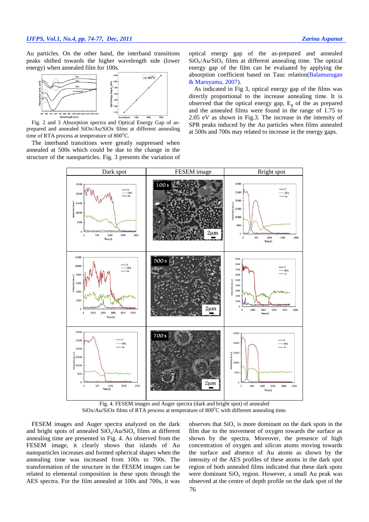Au particles. On the other hand, the interband transitions peaks shifted towards the higher wavelength side (lower energy) when annealed film for 100s.



Fig. 2 and 3 Absorption spectra and Optical Energy Gap of asprepared and annealed SiOx/Au/SiOx films at different annealing time of RTA process at temperature of  $800^{\circ}$ C.

The interband transitions were greatly suppressed when annealed at 500s which could be due to the change in the structure of the nanoparticles. Fig. 3 presents the variation of optical energy gap of the as-prepared and annealed  $SiO_x/Au/SiO_x$  films at different annealing time. The optical energy gap of the film can be evaluated by applying the absorption coefficient based on Tauc relation[\(Balamurugan](#page-3-17)  [& Maruyama, 2007\)](#page-3-17).

As indicated in Fig 3, optical energy gap of the films was directly proportional to the increase annealing time. It is observed that the optical energy gap,  $E<sub>g</sub>$  of the as prepared and the annealed films were found in the range of 1.75 to 2.05 eV as shown in Fig.3. The increase in the intensity of SPR peaks induced by the Au particles when films annealed at 500s and 700s may related to increase in the energy gaps.



Fig. 4. FESEM images and Auger spectra (dark and bright spot) of annealed  $SiOx/Au/SiOx$  films of RTA process at temperature of  $800^{\circ}$ C with different annealing time.

FESEM images and Auger spectra analyzed on the dark and bright spots of annealed  $SiO_x/Au/SiO_x$  films at different annealing time are presented in Fig. 4. As observed from the FESEM image, it clearly shows that islands of Au nanoparticles increases and formed spherical shapes when the annealing time was increased from 100s to 700s. The transformation of the structure in the FESEM images can be related to elemental composition in these spots through the AES spectra. For the film annealed at 100s and 700s, it was

observes that  $SiO_x$  is more dominant on the dark spots in the film due to the movement of oxygen towards the surface as shown by the spectra. Moreover, the presence of high concentration of oxygen and silicon atoms moving towards the surface and absence of Au atoms as shown by the intensity of the AES profiles of these atoms in the dark spot region of both annealed films indicated that these dark spots were dominant  $SiO<sub>x</sub>$  region. However, a small Au peak was observed at the centre of depth profile on the dark spot of the